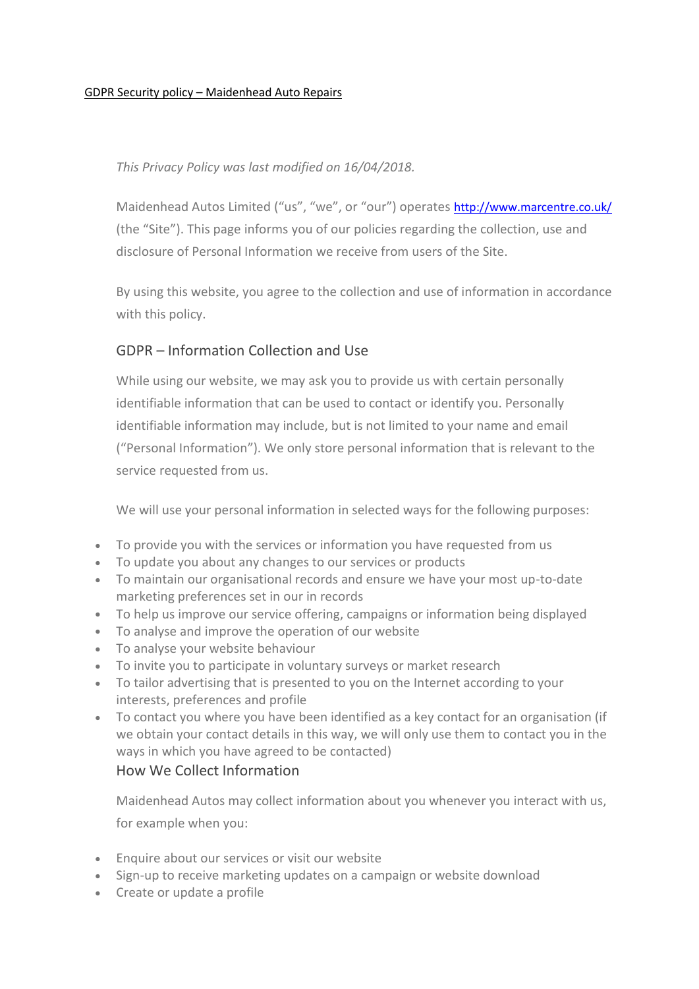#### GDPR Security policy – Maidenhead Auto Repairs

### *This Privacy Policy was last modified on 16/04/2018.*

Maidenhead Autos Limited ("us", "we", or "our") operates <http://www.marcentre.co.uk/> (the "Site"). This page informs you of our policies regarding the collection, use and disclosure of Personal Information we receive from users of the Site.

By using this website, you agree to the collection and use of information in accordance with this policy.

### GDPR – Information Collection and Use

While using our website, we may ask you to provide us with certain personally identifiable information that can be used to contact or identify you. Personally identifiable information may include, but is not limited to your name and email ("Personal Information"). We only store personal information that is relevant to the service requested from us.

We will use your personal information in selected ways for the following purposes:

- To provide you with the services or information you have requested from us
- To update you about any changes to our services or products
- To maintain our organisational records and ensure we have your most up-to-date marketing preferences set in our in records
- To help us improve our service offering, campaigns or information being displayed
- To analyse and improve the operation of our website
- To analyse your website behaviour
- To invite you to participate in voluntary surveys or market research
- To tailor advertising that is presented to you on the Internet according to your interests, preferences and profile
- To contact you where you have been identified as a key contact for an organisation (if we obtain your contact details in this way, we will only use them to contact you in the ways in which you have agreed to be contacted)

### How We Collect Information

Maidenhead Autos may collect information about you whenever you interact with us, for example when you:

- Enquire about our services or visit our website
- Sign-up to receive marketing updates on a campaign or website download
- Create or update a profile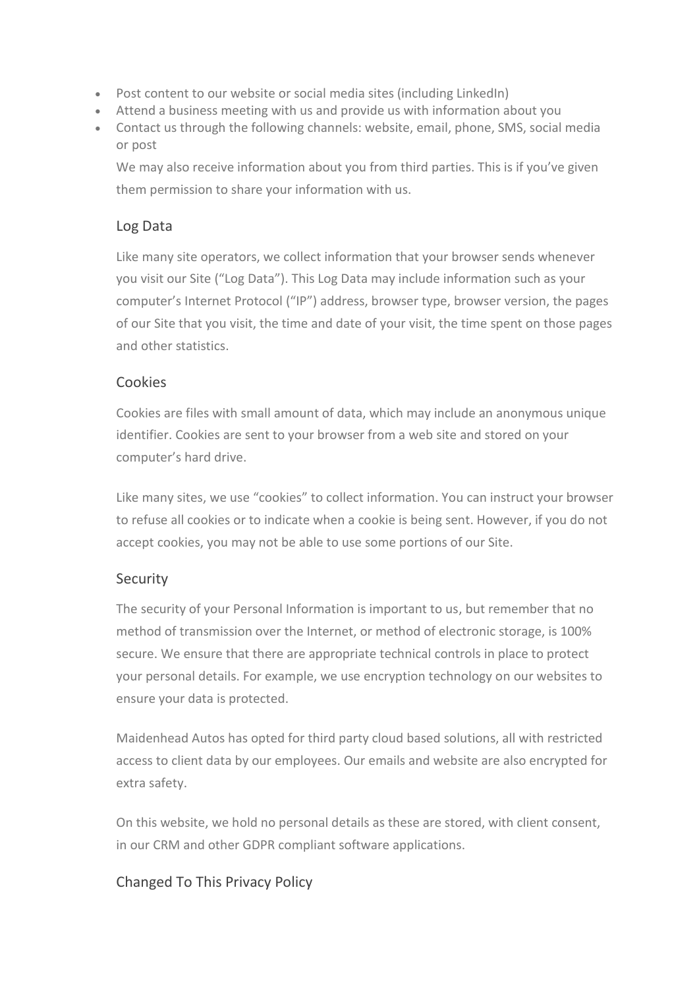- Post content to our website or social media sites (including LinkedIn)
- Attend a business meeting with us and provide us with information about you
- Contact us through the following channels: website, email, phone, SMS, social media or post

We may also receive information about you from third parties. This is if you've given them permission to share your information with us.

## Log Data

Like many site operators, we collect information that your browser sends whenever you visit our Site ("Log Data"). This Log Data may include information such as your computer's Internet Protocol ("IP") address, browser type, browser version, the pages of our Site that you visit, the time and date of your visit, the time spent on those pages and other statistics.

## Cookies

Cookies are files with small amount of data, which may include an anonymous unique identifier. Cookies are sent to your browser from a web site and stored on your computer's hard drive.

Like many sites, we use "cookies" to collect information. You can instruct your browser to refuse all cookies or to indicate when a cookie is being sent. However, if you do not accept cookies, you may not be able to use some portions of our Site.

## **Security**

The security of your Personal Information is important to us, but remember that no method of transmission over the Internet, or method of electronic storage, is 100% secure. We ensure that there are appropriate technical controls in place to protect your personal details. For example, we use encryption technology on our websites to ensure your data is protected.

Maidenhead Autos has opted for third party cloud based solutions, all with restricted access to client data by our employees. Our emails and website are also encrypted for extra safety.

On this website, we hold no personal details as these are stored, with client consent, in our CRM and other GDPR compliant software applications.

# Changed To This Privacy Policy